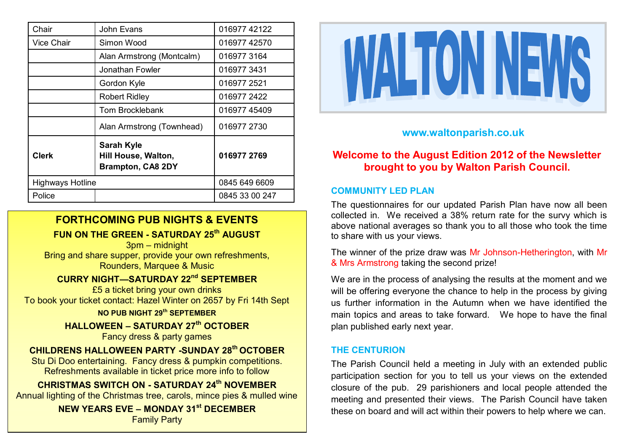| Chair                   | John Evans                                                           | 016977 42122   |
|-------------------------|----------------------------------------------------------------------|----------------|
| <b>Vice Chair</b>       | Simon Wood                                                           | 016977 42570   |
|                         | Alan Armstrong (Montcalm)                                            | 016977 3164    |
|                         | Jonathan Fowler                                                      | 0169773431     |
|                         | Gordon Kyle                                                          | 016977 2521    |
|                         | <b>Robert Ridley</b>                                                 | 016977 2422    |
|                         | Tom Brocklebank                                                      | 016977 45409   |
|                         | Alan Armstrong (Townhead)                                            | 016977 2730    |
| <b>Clerk</b>            | <b>Sarah Kyle</b><br>Hill House, Walton,<br><b>Brampton, CA8 2DY</b> | 016977 2769    |
| <b>Highways Hotline</b> |                                                                      | 0845 649 6609  |
| Police                  |                                                                      | 0845 33 00 247 |

# **FORTHCOMING PUB NIGHTS & EVENTS**

**FUN ON THE GREEN - SATURDAY 25th AUGUST**

3pm – midnight Bring and share supper, provide your own refreshments, Rounders, Marquee & Music

# **CURRY NIGHT—SATURDAY 22nd SEPTEMBER**

£5 a ticket bring your own drinks To book your ticket contact: Hazel Winter on 2657 by Fri 14th Sept

### **NO PUB NIGHT 29th SEPTEMBER**

**HALLOWEEN – SATURDAY 27th OCTOBER**  Fancy dress & party games

## **CHILDRENS HALLOWEEN PARTY -SUNDAY 28th OCTOBER**

Stu Di Doo entertaining. Fancy dress & pumpkin competitions. Refreshments available in ticket price more info to follow

**CHRISTMAS SWITCH ON - SATURDAY 24th NOVEMBER** Annual lighting of the Christmas tree, carols, mince pies & mulled wine

> **NEW YEARS EVE – MONDAY 31st DECEMBER**  Family Party



# **www.waltonparish.co.uk**

# **Welcome to the August Edition 2012 of the Newsletter brought to you by Walton Parish Council.**

## **COMMUNITY LED PLAN**

The questionnaires for our updated Parish Plan have now all been collected in. We received a 38% return rate for the survy which is above national averages so thank you to all those who took the time to share with us your views.

The winner of the prize draw was Mr Johnson-Hetherington, with Mr & Mrs Armstrong taking the second prize!

We are in the process of analysing the results at the moment and we will be offering everyone the chance to help in the process by giving us further information in the Autumn when we have identified the main topics and areas to take forward. We hope to have the final plan published early next year.

### **THE CENTURION**

The Parish Council held a meeting in July with an extended public participation section for you to tell us your views on the extended closure of the pub. 29 parishioners and local people attended the meeting and presented their views. The Parish Council have taken these on board and will act within their powers to help where we can.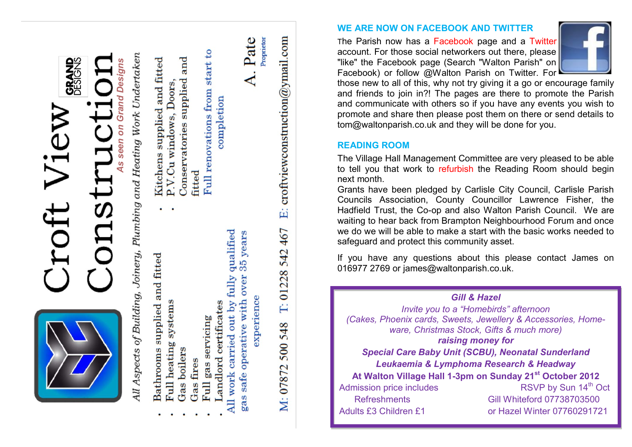

- 
- - -
- 
- Landlord certificates

qualified years  $35<sub>o</sub>$ fully over experience safe operative with All work carried out by gas

Pate

Proprietor

E: croftviewconstruction@ymail.com

542 467

 $T: 01228$ 

**WE ARE NOW ON FACEBOOK AND TWITTER**

The Parish now has a Facebook page and a Twitter account. For those social networkers out there, please "like" the Facebook page (Search "Walton Parish" on Facebook) or follow @Walton Parish on Twitter. For



those new to all of this, why not try giving it a go or encourage family and friends to join in?! The pages are there to promote the Parish and communicate with others so if you have any events you wish to promote and share then please post them on there or send details to tom@waltonparish.co.uk and they will be done for you.

# **READING ROOM**

The Village Hall Management Committee are very pleased to be able to tell you that work to refurbish the Reading Room should begin next month.

Grants have been pledged by Carlisle City Council, Carlisle Parish Councils Association, County Councillor Lawrence Fisher, the Hadfield Trust, the Co -op and also Walton Parish Council. We are waiting to hear back from Brampton Neighbourhood Forum and once we do we will be able to make a start with the basic works needed to safeguard and protect this community asset.

If you have any questions about this please contact James on 016977 2769 or james@waltonparish.co.uk.

*Gill & Hazel Invite you to a "Homebirds" afternoon (Cakes, Phoenix cards, Sweets, Jewellery & Accessories, Homeware, Christmas Stock, Gifts & much more) raising money for Special Care Baby Unit (SCBU), Neonatal Sunderland Leukaemia & Lymphoma Research & Headway* **At Walton Village Hall 1 -3pm on Sunday 21st October 2012**  Admission price includes RSVP by Sun 14<sup>th</sup> Oct Refreshments Gill Whiteford 07738703500 Adults £3 Children £1 or Hazel Winter 07760291721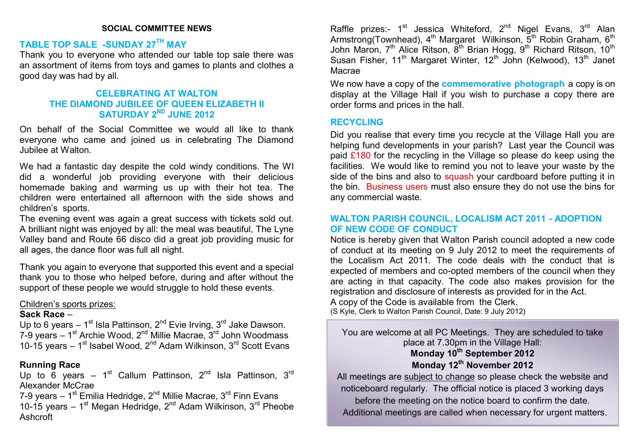#### **SOCIAL COMMITTEE NEWS**

## **TABLE TOP SALE -SUNDAY 27TH MAY**

Thank you to everyone who attended our table top sale there was an assortment of items from toys and games to plants and clothes a good day was had by all.

### **CELEBRATING AT WALTON THE DIAMOND JUBILEE OF QUEEN ELIZABETH II SATURDAY 2ND JUNE 2012**

On behalf of the Social Committee we would all like to thank everyone who came and joined us in celebrating The Diamond Jubilee at Walton.

We had a fantastic day despite the cold windy conditions. The WI did a wonderful job providing everyone with their delicious homemade baking and warming us up with their hot tea. The children were entertained all afternoon with the side shows and children's sports.

The evening event was again a great success with tickets sold out. A brilliant night was enjoyed by all: the meal was beautiful, The Lyne Valley band and Route 66 disco did a great job providing music for all ages, the dance floor was full all night.

Thank you again to everyone that supported this event and a special thank you to those who helped before, during and after without the support of these people we would struggle to hold these events.

#### Children's sports prizes:

#### **Sack Race** –

Up to 6 years  $-1$ <sup>st</sup> Isla Pattinson, 2<sup>nd</sup> Evie Irving, 3<sup>rd</sup> Jake Dawson. 7-9 years – 1<sup>st</sup> Archie Wood, 2<sup>nd</sup> Millie Macrae, 3<sup>rd</sup> John Woodmass 10-15 years  $-1<sup>st</sup>$  Isabel Wood, 2<sup>nd</sup> Adam Wilkinson, 3<sup>rd</sup> Scott Evans

#### **Running Race**

Up to 6 years – 1<sup>st</sup> Callum Pattinson, 2<sup>nd</sup> Isla Pattinson, 3<sup>rd</sup> Alexander McCrae

7-9 years – 1<sup>st</sup> Emilia Hedridge, 2<sup>nd</sup> Millie Macrae, 3<sup>rd</sup> Finn Evans 10-15 years  $-1<sup>st</sup>$  Megan Hedridge,  $2<sup>nd</sup>$  Adam Wilkinson,  $3<sup>rd</sup>$  Pheobe Ashcroft

Raffle prizes:- 1<sup>st</sup> Jessica Whiteford, 2<sup>nd</sup> Nigel Evans, 3<sup>rd</sup> Alan Armstrong(Townhead),  $4<sup>th</sup>$  Margaret Wilkinson,  $5<sup>th</sup>$  Robin Graham,  $6<sup>th</sup>$ John Maron, 7<sup>th</sup> Alice Ritson, 8<sup>th</sup> Brian Hogg, 9<sup>th</sup> Richard Ritson, 10<sup>th</sup> Susan Fisher, 11<sup>th</sup> Margaret Winter, 12<sup>th</sup> John (Kelwood), 13<sup>th</sup> Janet Macrae

We now have a copy of the **commemorative photograph** a copy is on display at the Village Hall if you wish to purchase a copy there are order forms and prices in the hall.

#### **RECYCLING**

Did you realise that every time you recycle at the Village Hall you are helping fund developments in your parish? Last year the Council was paid  $£180$  for the recycling in the Village so please do keep using the facilities. We would like to remind you not to leave your waste by the side of the bins and also to squash your cardboard before putting it in the bin. Business users must also ensure they do not use the bins for any commercial waste.

### **WALTON PARISH COUNCIL, LOCALISM ACT 2011 - ADOPTION OF NEW CODE OF CONDUCT**

Notice is hereby given that Walton Parish council adopted a new code of conduct at its meeting on 9 July 2012 to meet the requirements of the Localism Act 2011. The code deals with the conduct that is expected of members and co-opted members of the council when they are acting in that capacity. The code also makes provision for the registration and disclosure of interests as provided for in the Act. A copy of the Code is available from the Clerk.

(S Kyle, Clerk to Walton Parish Council, Date: 9 July 2012)

You are welcome at all PC Meetings. They are scheduled to take place at 7.30pm in the Village Hall: **Monday 10th September 2012 Monday 12th November 2012**

All meetings are subject to change so please check the website and noticeboard regularly. The official notice is placed 3 working days before the meeting on the notice board to confirm the date. Additional meetings are called when necessary for urgent matters.